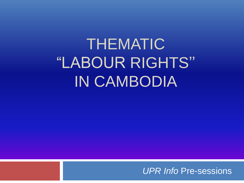THEMATIC "LABOUR RIGHTS'' IN CAMBODIA

*UPR Info* Pre-sessions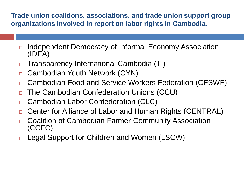**Trade union coalitions, associations, and trade union support group organizations involved in report on labor rights in Cambodia.**

- **□** Independent Democracy of Informal Economy Association (IDEA)
- □ Transparency International Cambodia (TI)
- □ Cambodian Youth Network (CYN)
- □ Cambodian Food and Service Workers Federation (CFSWF)
- □ The Cambodian Confederation Unions (CCU)
- □ Cambodian Labor Confederation (CLC)
- □ Center for Alliance of Labor and Human Rights (CENTRAL)
- □ Coalition of Cambodian Farmer Community Association (CCFC)
- □ Legal Support for Children and Women (LSCW)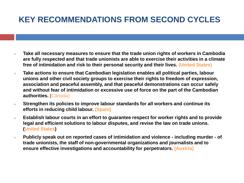## **KEY RECOMMENDATIONS FROM SECOND CYCLES**

- ➢ **Take all necessary measures to ensure that the trade union rights of workers in Cambodia are fully respected and that trade unionists are able to exercise their activities in a climate free of intimidation and risk to their personal security and their lives. (United States)**
- ➢ **Take actions to ensure that Cambodian legislation enables all political parties, labour unions and other civil society groups to exercise their rights to freedom of expression, association and peaceful assembly, and that peaceful demonstrations can occur safely and without fear of intimidation or excessive use of force on the part of the Cambodian authorities.** (Canada)
- ➢ **Strengthen its policies to improve labour standards for all workers and continue its efforts in reducing child labour. (Spain)**
- ➢ **Establish labour courts in an effort to guarantee respect for worker rights and to provide legal and efficient solutions to labour disputes, and revise the law on trade unions. (United States)**
- ➢ **Publicly speak out on reported cases of intimidation and violence - including murder - of trade unionists, the staff of non-governmental organizations and journalists and to ensure effective investigations and accountability for perpetrators. (Austria)**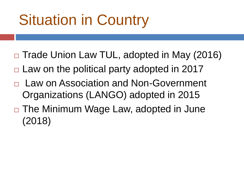## Situation in Country

- □ Trade Union Law TUL, adopted in May (2016)
- $\Box$  Law on the political party adopted in 2017
- □ Law on Association and Non-Government Organizations (LANGO) adopted in 2015
- □ The Minimum Wage Law, adopted in June (2018)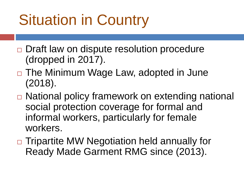## Situation in Country

- □ Draft law on dispute resolution procedure (dropped in 2017).
- □ The Minimum Wage Law, adopted in June (2018).
- □ National policy framework on extending national social protection coverage for formal and informal workers, particularly for female workers.
- □ Tripartite MW Negotiation held annually for Ready Made Garment RMG since (2013).